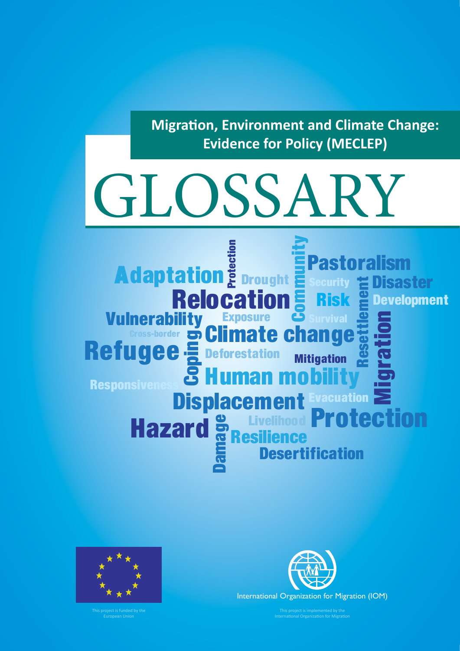**Migration, Environment and Climate Change: Evidence for Policy (MECLEP)**

# GLOSSARY

Adaptation Exposure B mmunity Migration **Resilience** Vulnerabi Risk **Displacement** Pastoralism Protection Refugee = Deforestation **Relocation Hazard**<br>East<br>Bamaz **Cross-border Schange Desertification Mitigation** Development Drought **Evacuation** Security Survival Livelihood Responsiven Protection Coping Resettle ment Human mobility **Disaster** 



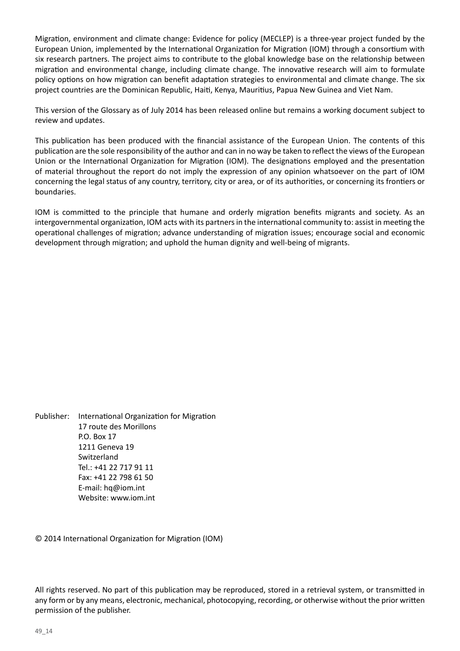Migration, environment and climate change: Evidence for policy (MECLEP) is a three-year project funded by the European Union, implemented by the International Organization for Migration (IOM) through a consortium with six research partners. The project aims to contribute to the global knowledge base on the relationship between migration and environmental change, including climate change. The innovative research will aim to formulate policy options on how migration can benefit adaptation strategies to environmental and climate change. The six project countries are the Dominican Republic, Haiti, Kenya, Mauritius, Papua New Guinea and Viet Nam.

This version of the Glossary as of July 2014 has been released online but remains a working document subject to review and updates.

This publication has been produced with the financial assistance of the European Union. The contents of this publication are the sole responsibility of the author and can in no way be taken to reflect the views of the European Union or the International Organization for Migration (IOM). The designations employed and the presentation of material throughout the report do not imply the expression of any opinion whatsoever on the part of IOM concerning the legal status of any country, territory, city or area, or of its authorities, or concerning its frontiers or boundaries.

IOM is committed to the principle that humane and orderly migration benefits migrants and society. As an intergovernmental organization, IOM acts with its partners in the international community to: assist in meeting the operational challenges of migration; advance understanding of migration issues; encourage social and economic development through migration; and uphold the human dignity and well-being of migrants.

Publisher: International Organization for Migration 17 route des Morillons P.O. Box 17 1211 Geneva 19 Switzerland Tel.: +41 22 717 91 11 Fax: +41 22 798 61 50 E-mail: hq@iom.int Website: www.iom.int

© 2014 International Organization for Migration (IOM)

All rights reserved. No part of this publication may be reproduced, stored in a retrieval system, or transmitted in any form or by any means, electronic, mechanical, photocopying, recording, or otherwise without the prior written permission of the publisher.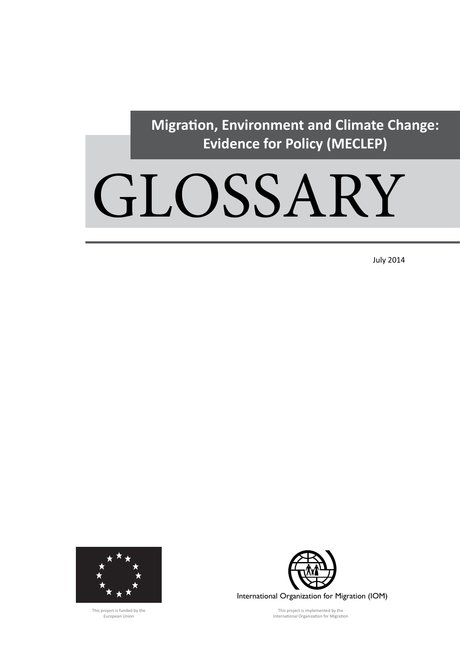**Migration, Environment and Climate Change: Evidence for Policy (MECLEP)**

# GLOSSARY

July 2014



This project is funded by the European Union



International Organization for Migration (IOM)

This project is implemented by the International Organization for Migration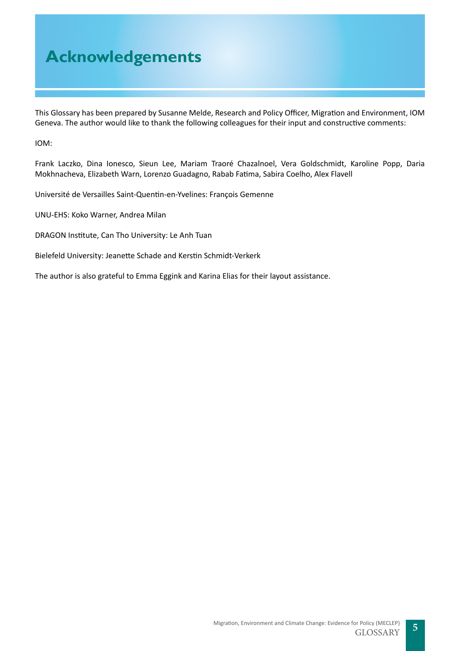## **Acknowledgements**

This Glossary has been prepared by Susanne Melde, Research and Policy Officer, Migration and Environment, IOM Geneva. The author would like to thank the following colleagues for their input and constructive comments:

IOM:

Frank Laczko, Dina Ionesco, Sieun Lee, Mariam Traoré Chazalnoel, Vera Goldschmidt, Karoline Popp, Daria Mokhnacheva, Elizabeth Warn, Lorenzo Guadagno, Rabab Fatima, Sabira Coelho, Alex Flavell

Université de Versailles Saint-Quentin-en-Yvelines: François Gemenne

UNU-EHS: Koko Warner, Andrea Milan

DRAGON Institute, Can Tho University: Le Anh Tuan

Bielefeld University: Jeanette Schade and Kerstin Schmidt-Verkerk

The author is also grateful to Emma Eggink and Karina Elias for their layout assistance.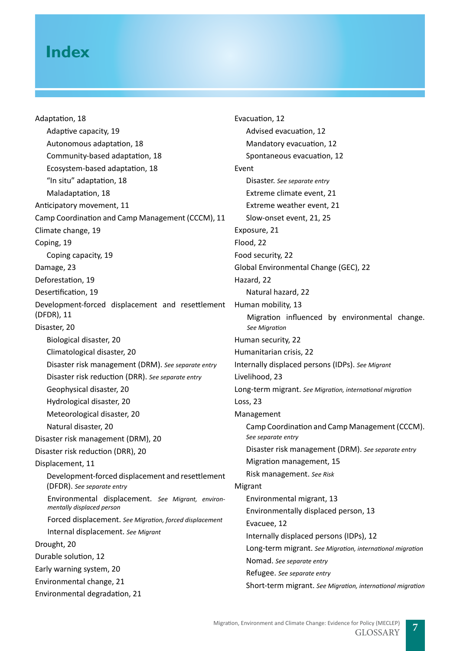## **Index**

[Adaptation, 18](#page-17-0) [Adaptive capacity, 19](#page-18-0) [Autonomous adaptation, 18](#page-17-0) [Community-based adaptation, 18](#page-17-0) [Ecosystem-based adaptation, 18](#page-17-0) "[In situ" adaptation, 18](#page-17-0) [Maladaptation, 18](#page-17-0) [Anticipatory movement, 11](#page-10-0) [Camp Coordination and Camp Management \(CCCM\), 11](#page-10-0) [Climate change, 19](#page-18-0) [Coping, 19](#page-18-0) [Coping capacity, 19](#page-18-0) [Damage, 23](#page-22-0) [Deforestation, 19](#page-18-0) [Desertification, 19](#page-18-0) [Development-forced displacement and resettlement](#page-10-0)  [\(DFDR\), 11](#page-10-0) [Disaster, 20](#page-19-0) [Biological disaster, 20](#page-19-0) [Climatological disaster, 20](#page-19-0) Disaster risk management (DRM). *See separate entry* Disaster risk reduction (DRR). *See separate entry* [Geophysical disaster, 20](#page-19-0) [Hydrological disaster, 20](#page-19-0) [Meteorological disaster, 20](#page-19-0) [Natural disaster, 20](#page-19-0) [Disaster risk management \(DRM\), 20](#page-19-0) [Disaster risk reduction \(DRR\), 20](#page-19-0) [Displacement, 11](#page-10-0) Development-forced displacement and resettlement (DFDR). *See separate entry* Environmental displacement. *See Migrant, environmentally displaced person* Forced displacement. *See Migration, forced displacement* Internal displacement. *See Migrant* [Drought, 20](#page-19-0) [Durable solution, 12](#page-11-0) [Early warning system, 20](#page-19-0) [Environmental change, 21](#page-20-0)

[Environmental degradation, 21](#page-20-0)

[Evacuation, 12](#page-11-0) [Advised evacuation, 12](#page-11-0) [Mandatory evacuation, 12](#page-11-0) [Spontaneous evacuation, 12](#page-11-0) Event Disaster. *See separate entry* [Extreme climate event, 21](#page-20-0) [Extreme weather event, 21](#page-20-0) [Slow-onset event, 21,](#page-20-0) [25](#page-24-0) [Exposure, 21](#page-20-0) [Flood, 22](#page-21-0) [Food security, 22](#page-21-0) [Global Environmental Change \(GEC\), 22](#page-21-0) [Hazard, 22](#page-21-0) [Natural hazard, 22](#page-21-0) [Human mobility, 13](#page-12-0) Migration influenced by environmental change. *See Migration* [Human security, 22](#page-21-0) [Humanitarian crisis, 22](#page-21-0) Internally displaced persons (IDPs). *See Migrant* [Livelihood, 23](#page-22-0) Long-term migrant. *See Migration, international migration* [Loss, 23](#page-22-0) Management Camp Coordination and Camp Management (CCCM). *See separate entry* Disaster risk management (DRM). *See separate entry* [Migration management, 15](#page-14-0) Risk management. *See Risk* Migrant [Environmental migrant, 13](#page-12-0) [Environmentally displaced person, 13](#page-12-0) [Evacuee, 12](#page-11-0) [Internally displaced persons \(IDPs\), 1](#page-10-0)2 Long-term migrant. *See Migration, international migration* Nomad. *See separate entry* Refugee. *See separate entry* Short-term migrant. *See Migration, international migration*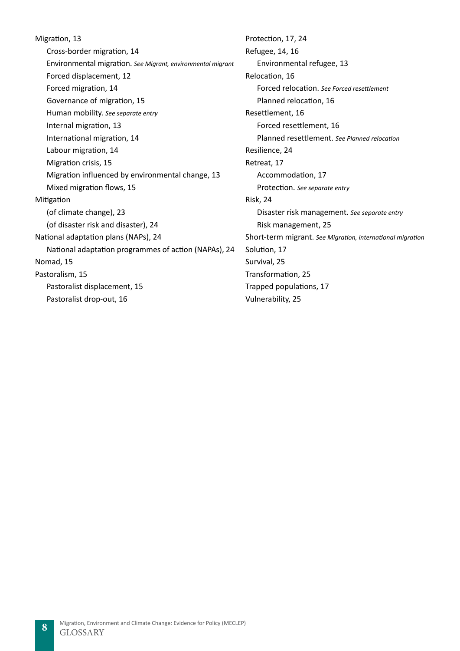[Migration, 13](#page-12-0) [Cross-border migration, 14](#page-13-0) Environmental migration. *See Migrant, environmental migrant* [Forced displacement, 12](#page-11-0) [Forced migration, 14](#page-13-0) [Governance of migration, 15](#page-14-0) Human mobility. *See separate entry* [Internal migration, 13](#page-12-0) [International migration, 14](#page-13-0) [Labour migration, 14](#page-13-0) [Migration crisis, 15](#page-14-0) [Migration influenced by environmental change, 13](#page-12-0) [Mixed migration flows, 15](#page-14-0) Mitigatio[n](#page-22-0) [\(of climate change\), 23](#page-22-0) [\(of disaster risk and disaster\), 24](#page-23-0) [National adaptation plans \(NAPs\), 24](#page-23-0) [National adaptation programmes of action \(NAPAs\), 24](#page-23-0) [Nomad, 15](#page-14-0) [Pastoralism, 15](#page-14-0) [Pastoralist displacement, 15](#page-14-0) [Pastoralist drop-out, 16](#page-15-0)

[Protection, 17, 24](#page-23-0) [Refugee, 14,](#page-13-0) 16 [Environmental refugee, 13](#page-12-0) [Relocation, 16](#page-15-0) Forced relocation. *See Forced resettlement* [Planned relocation, 16](#page-15-0) [Resettlement, 16](#page-15-0) [Forced resettlement, 16](#page-15-0) Planned resettlement. *See Planned relocation* [Resilience, 24](#page-23-0) [Retreat, 17](#page-16-0) [Accommodation, 17](#page-16-0) Protection. *See separate entry* [Risk, 24](#page-23-0) Disaster risk management. *See separate entry* [Risk management, 2](#page-23-0)5 Short-term migrant. *See Migration, international migration* [Solution, 17](#page-16-0) [Survival, 25](#page-24-0) [Transformation, 25](#page-24-0) [Trapped populations, 17](#page-16-0) [Vulnerability, 25](#page-24-0)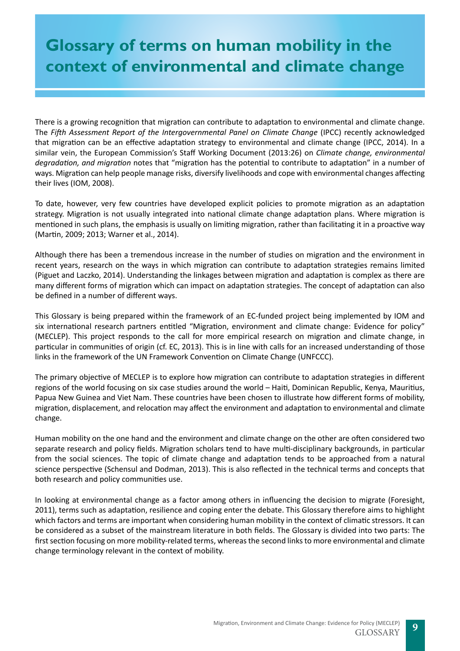# **Glossary of terms on human mobility in the context of environmental and climate change**

There is a growing recognition that migration can contribute to adaptation to environmental and climate change. The *Fifth Assessment Report of the Intergovernmental Panel on Climate Change* (IPCC) recently acknowledged that migration can be an effective adaptation strategy to environmental and climate change (IPCC, 2014). In a similar vein, the European Commission's Staff Working Document (2013:26) on *Climate change, environmental degradation, and migration* notes that "migration has the potential to contribute to adaptation" in a number of ways. Migration can help people manage risks, diversify livelihoods and cope with environmental changes affecting their lives (IOM, 2008).

To date, however, very few countries have developed explicit policies to promote migration as an adaptation strategy. Migration is not usually integrated into national climate change adaptation plans. Where migration is mentioned in such plans, the emphasis is usually on limiting migration, rather than facilitating it in a proactive way (Martin, 2009; 2013; Warner et al., 2014).

Although there has been a tremendous increase in the number of studies on migration and the environment in recent years, research on the ways in which migration can contribute to adaptation strategies remains limited (Piguet and Laczko, 2014). Understanding the linkages between migration and adaptation is complex as there are many different forms of migration which can impact on adaptation strategies. The concept of adaptation can also be defined in a number of different ways.

This Glossary is being prepared within the framework of an EC-funded project being implemented by IOM and six international research partners entitled "Migration, environment and climate change: Evidence for policy" (MECLEP). This project responds to the call for more empirical research on migration and climate change, in particular in communities of origin (cf. EC, 2013). This is in line with calls for an increased understanding of those links in the framework of the UN Framework Convention on Climate Change (UNFCCC).

The primary objective of MECLEP is to explore how migration can contribute to adaptation strategies in different regions of the world focusing on six case studies around the world – Haiti, Dominican Republic, Kenya, Mauritius, Papua New Guinea and Viet Nam. These countries have been chosen to illustrate how different forms of mobility, migration, displacement, and relocation may affect the environment and adaptation to environmental and climate change.

Human mobility on the one hand and the environment and climate change on the other are often considered two separate research and policy fields. Migration scholars tend to have multi-disciplinary backgrounds, in particular from the social sciences. The topic of climate change and adaptation tends to be approached from a natural science perspective (Schensul and Dodman, 2013). This is also reflected in the technical terms and concepts that both research and policy communities use.

In looking at environmental change as a factor among others in influencing the decision to migrate (Foresight, 2011), terms such as adaptation, resilience and coping enter the debate. This Glossary therefore aims to highlight which factors and terms are important when considering human mobility in the context of climatic stressors. It can be considered as a subset of the mainstream literature in both fields. The Glossary is divided into two parts: The first section focusing on more mobility-related terms, whereas the second links to more environmental and climate change terminology relevant in the context of mobility.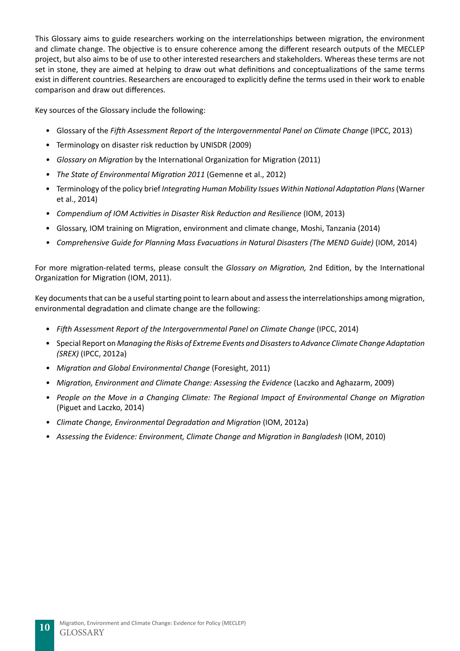This Glossary aims to guide researchers working on the interrelationships between migration, the environment and climate change. The objective is to ensure coherence among the different research outputs of the MECLEP project, but also aims to be of use to other interested researchers and stakeholders. Whereas these terms are not set in stone, they are aimed at helping to draw out what definitions and conceptualizations of the same terms exist in different countries. Researchers are encouraged to explicitly define the terms used in their work to enable comparison and draw out differences.

Key sources of the Glossary include the following:

- Glossary of the *Fifth Assessment Report of the Intergovernmental Panel on Climate Change* (IPCC, 2013)
- Terminology on disaster risk reduction by UNISDR (2009)
- *• Glossary on Migration* by the International Organization for Migration (2011)
- *• The State of Environmental Migration 2011* (Gemenne et al., 2012)
- Terminology of the policy brief *Integrating Human Mobility Issues Within National Adaptation Plans* (Warner et al., 2014)
- *• Compendium of IOM Activities in Disaster Risk Reduction and Resilience* (IOM, 2013)
- Glossary, IOM training on Migration, environment and climate change, Moshi, Tanzania (2014)
- *• Comprehensive Guide for Planning Mass Evacuations in Natural Disasters (The MEND Guide)* (IOM, 2014)

For more migration-related terms, please consult the *Glossary on Migration,* 2nd Edition, by the International Organization for Migration (IOM, 2011).

Key documents that can be a useful starting point to learn about and assess the interrelationships among migration, environmental degradation and climate change are the following:

- *Fifth Assessment Report of the Intergovernmental Panel on Climate Change* (IPCC, 2014)
- Special Report on *Managing the Risks of Extreme Events and Disasters to Advance Climate Change Adaptation (SREX)* (IPCC, 2012a)
- *• Migration and Global Environmental Change* (Foresight, 2011)
- *Migration, Environment and Climate Change: Assessing the Evidence* (Laczko and Aghazarm, 2009)
- *• People on the Move in a Changing Climate: The Regional Impact of Environmental Change on Migration*  (Piguet and Laczko, 2014)
- *Climate Change, Environmental Degradation and Migration* (IOM, 2012a)
- Assessing the Evidence: Environment, Climate Change and Migration in Bangladesh (IOM, 2010)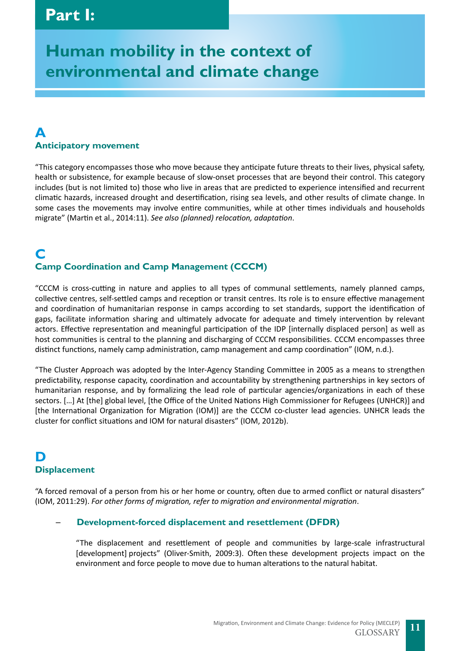# <span id="page-10-0"></span>**Human mobility in the context of environmental and climate change**

## **A Anticipatory movement**

"This category encompasses those who move because they anticipate future threats to their lives, physical safety, health or subsistence, for example because of slow-onset processes that are beyond their control. This category includes (but is not limited to) those who live in areas that are predicted to experience intensified and recurrent climatic hazards, increased drought and desertification, rising sea levels, and other results of climate change. In some cases the movements may involve entire communities, while at other times individuals and households migrate" (Martin et al., 2014:11). *See also (planned) relocation, adaptation*.

## **C Camp Coordination and Camp Management (CCCM)**

"CCCM is cross-cutting in nature and applies to all types of communal settlements, namely planned camps, collective centres, self-settled camps and reception or transit centres. Its role is to ensure effective management and coordination of humanitarian response in camps according to set standards, support the identification of gaps, facilitate information sharing and ultimately advocate for adequate and timely intervention by relevant actors. Effective representation and meaningful participation of the IDP [internally displaced person] as well as host communities is central to the planning and discharging of CCCM responsibilities. CCCM encompasses three distinct functions, namely camp administration, camp management and camp coordination" (IOM, n.d.).

"The Cluster Approach was adopted by the Inter-Agency Standing Committee in 2005 as a means to strengthen predictability, response capacity, coordination and accountability by strengthening partnerships in key sectors of humanitarian response, and by formalizing the lead role of particular agencies/organizations in each of these sectors. […] At [the] global level, [the Office of the United Nations High Commissioner for Refugees (UNHCR)] and [the International Organization for Migration (IOM)] are the CCCM co-cluster lead agencies. UNHCR leads the cluster for conflict situations and IOM for natural disasters" (IOM, 2012b).

## **D Displacement**

"A forced removal of a person from his or her home or country, often due to armed conflict or natural disasters" (IOM, 2011:29). *For other forms of migration, refer to migration and environmental migration*.

## ─ **Development-forced displacement and resettlement (DFDR)**

"The displacement and resettlement of people and communities by large-scale infrastructural [development] projects" (Oliver-Smith, 2009:3). Often these development projects impact on the environment and force people to move due to human alterations to the natural habitat.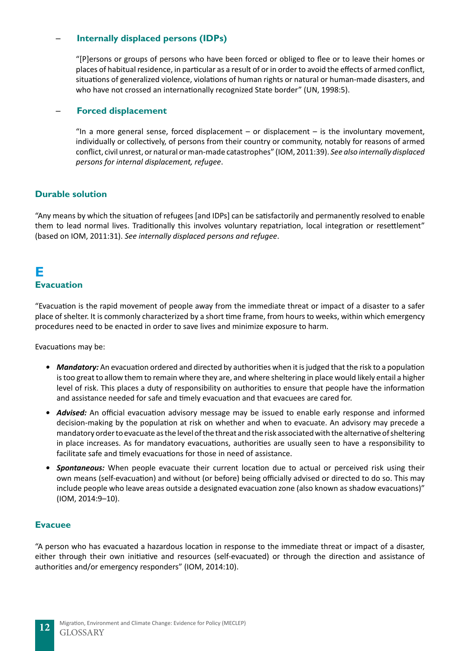## <span id="page-11-0"></span>─ **Internally displaced persons (IDPs)**

"[P]ersons or groups of persons who have been forced or obliged to flee or to leave their homes or places of habitual residence, in particular as a result of or in order to avoid the effects of armed conflict, situations of generalized violence, violations of human rights or natural or human-made disasters, and who have not crossed an internationally recognized State border" (UN, 1998:5).

## ─ **Forced displacement**

"In a more general sense, forced displacement  $-$  or displacement  $-$  is the involuntary movement, individually or collectively, of persons from their country or community, notably for reasons of armed conflict, civil unrest, or natural or man-made catastrophes" (IOM, 2011:39). *See also internally displaced persons for internal displacement, refugee*.

## **Durable solution**

"Any means by which the situation of refugees [and IDPs] can be satisfactorily and permanently resolved to enable them to lead normal lives. Traditionally this involves voluntary repatriation, local integration or resettlement" (based on IOM, 2011:31). *See internally displaced persons and refugee*.

## **E Evacuation**

"Evacuation is the rapid movement of people away from the immediate threat or impact of a disaster to a safer place of shelter. It is commonly characterized by a short time frame, from hours to weeks, within which emergency procedures need to be enacted in order to save lives and minimize exposure to harm.

Evacuations may be:

- *• Mandatory:* An evacuation ordered and directed by authorities when it is judged that the risk to a population is too great to allow them to remain where they are, and where sheltering in place would likely entail a higher level of risk. This places a duty of responsibility on authorities to ensure that people have the information and assistance needed for safe and timely evacuation and that evacuees are cared for.
- *• Advised:* An official evacuation advisory message may be issued to enable early response and informed decision-making by the population at risk on whether and when to evacuate. An advisory may precede a mandatory order to evacuate as the level of the threat and the risk associated with the alternative of sheltering in place increases. As for mandatory evacuations, authorities are usually seen to have a responsibility to facilitate safe and timely evacuations for those in need of assistance.
- *Spontaneous:* When people evacuate their current location due to actual or perceived risk using their own means (self-evacuation) and without (or before) being officially advised or directed to do so. This may include people who leave areas outside a designated evacuation zone (also known as shadow evacuations)" (IOM, 2014:9–10).

#### **Evacuee**

"A person who has evacuated a hazardous location in response to the immediate threat or impact of a disaster, either through their own initiative and resources (self-evacuated) or through the direction and assistance of authorities and/or emergency responders" (IOM, 2014:10).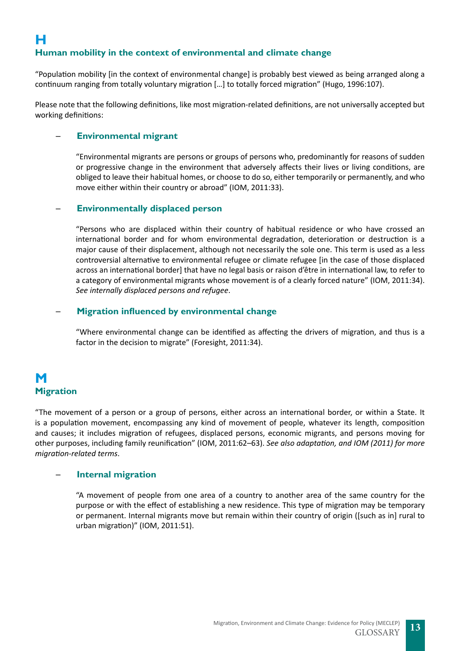<span id="page-12-0"></span>"Population mobility [in the context of environmental change] is probably best viewed as being arranged along a continuum ranging from totally voluntary migration […] to totally forced migration" (Hugo, 1996:107).

Please note that the following definitions, like most migration-related definitions, are not universally accepted but working definitions:

## ─ **Environmental migrant**

"Environmental migrants are persons or groups of persons who, predominantly for reasons of sudden or progressive change in the environment that adversely affects their lives or living conditions, are obliged to leave their habitual homes, or choose to do so, either temporarily or permanently, and who move either within their country or abroad" (IOM, 2011:33).

## ─ **Environmentally displaced person**

"Persons who are displaced within their country of habitual residence or who have crossed an international border and for whom environmental degradation, deterioration or destruction is a major cause of their displacement, although not necessarily the sole one. This term is used as a less controversial alternative to environmental refugee or climate refugee [in the case of those displaced across an international border] that have no legal basis or raison d'être in international law, to refer to a category of environmental migrants whose movement is of a clearly forced nature" (IOM, 2011:34). *See internally displaced persons and refugee*.

## ─ **Migration influenced by environmental change**

"Where environmental change can be identified as affecting the drivers of migration, and thus is a factor in the decision to migrate" (Foresight, 2011:34).

## **M Migration**

"The movement of a person or a group of persons, either across an international border, or within a State. It is a population movement, encompassing any kind of movement of people, whatever its length, composition and causes; it includes migration of refugees, displaced persons, economic migrants, and persons moving for other purposes, including family reunification" (IOM, 2011:62–63). *See also adaptation, and IOM (2011) for more migration-related terms*.

## ─ **Internal migration**

"A movement of people from one area of a country to another area of the same country for the purpose or with the effect of establishing a new residence. This type of migration may be temporary or permanent. Internal migrants move but remain within their country of origin ([such as in] rural to urban migration)" (IOM, 2011:51).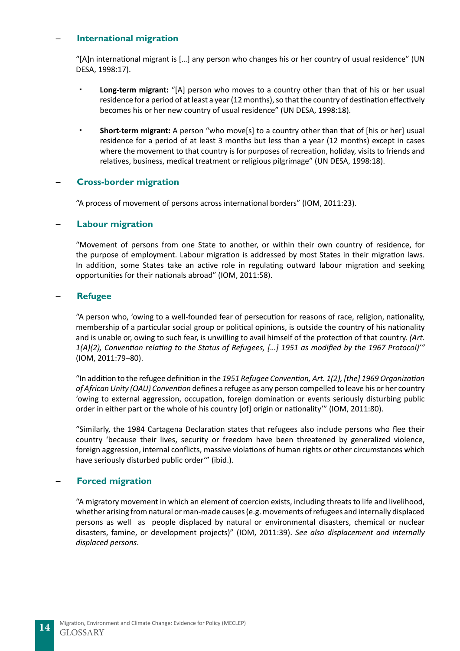## <span id="page-13-0"></span>─ **International migration**

"[A]n international migrant is […] any person who changes his or her country of usual residence" (UN DESA, 1998:17).

- **Long-term migrant:** "[A] person who moves to a country other than that of his or her usual residence for a period of at least a year (12 months), so that the country of destination effectively becomes his or her new country of usual residence" (UN DESA, 1998:18).
- **Short-term migrant:** A person "who move[s] to a country other than that of [his or her] usual residence for a period of at least 3 months but less than a year (12 months) except in cases where the movement to that country is for purposes of recreation, holiday, visits to friends and relatives, business, medical treatment or religious pilgrimage" (UN DESA, 1998:18).

## ─ **Cross-border migration**

"A process of movement of persons across international borders" (IOM, 2011:23).

## ─ **Labour migration**

"Movement of persons from one State to another, or within their own country of residence, for the purpose of employment. Labour migration is addressed by most States in their migration laws. In addition, some States take an active role in regulating outward labour migration and seeking opportunities for their nationals abroad" (IOM, 2011:58).

## ─ **Refugee**

"A person who, 'owing to a well-founded fear of persecution for reasons of race, religion, nationality, membership of a particular social group or political opinions, is outside the country of his nationality and is unable or, owing to such fear, is unwilling to avail himself of the protection of that country. *(Art. 1(A)(2), Convention relating to the Status of Refugees, […] 1951 as modified by the 1967 Protocol)'"* (IOM, 2011:79–80).

"In addition to the refugee definition in the *1951 Refugee Convention, Art. 1(2), [the] 1969 Organization of African Unity (OAU) Convention* defines a refugee as any person compelled to leave his or her country 'owing to external aggression, occupation, foreign domination or events seriously disturbing public order in either part or the whole of his country [of] origin or nationality'" (IOM, 2011:80).

"Similarly, the 1984 Cartagena Declaration states that refugees also include persons who flee their country 'because their lives, security or freedom have been threatened by generalized violence, foreign aggression, internal conflicts, massive violations of human rights or other circumstances which have seriously disturbed public order'" (ibid.).

## ─ **Forced migration**

"A migratory movement in which an element of coercion exists, including threats to life and livelihood, whether arising from natural or man-made causes (e.g. movements of refugees and internally displaced persons as well as people displaced by natural or environmental disasters, chemical or nuclear disasters, famine, or development projects)" (IOM, 2011:39). *See also displacement and internally displaced persons*.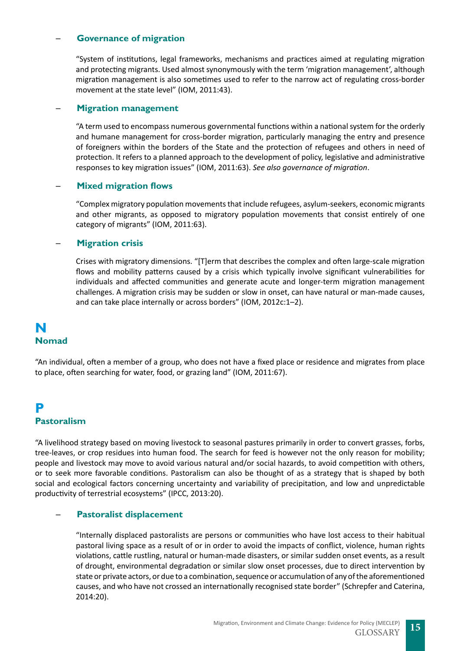## <span id="page-14-0"></span>─ **Governance of migration**

"System of institutions, legal frameworks, mechanisms and practices aimed at regulating migration and protecting migrants. Used almost synonymously with the term 'migration management', although migration management is also sometimes used to refer to the narrow act of regulating cross-border movement at the state level" (IOM, 2011:43).

## ─ **Migration management**

"A term used to encompass numerous governmental functions within a national system for the orderly and humane management for cross-border migration, particularly managing the entry and presence of foreigners within the borders of the State and the protection of refugees and others in need of protection. It refers to a planned approach to the development of policy, legislative and administrative responses to key migration issues" (IOM, 2011:63). *See also governance of migration*.

## ─ **Mixed migration flows**

"Complex migratory population movements that include refugees, asylum-seekers, economic migrants and other migrants, as opposed to migratory population movements that consist entirely of one category of migrants" (IOM, 2011:63).

## ─ **Migration crisis**

Crises with migratory dimensions. "[T]erm that describes the complex and often large-scale migration flows and mobility patterns caused by a crisis which typically involve significant vulnerabilities for individuals and affected communities and generate acute and longer-term migration management challenges. A migration crisis may be sudden or slow in onset, can have natural or man-made causes, and can take place internally or across borders" (IOM, 2012c:1–2).

## **N Nomad**

"An individual, often a member of a group, who does not have a fixed place or residence and migrates from place to place, often searching for water, food, or grazing land" (IOM, 2011:67).

## **P Pastoralism**

"A livelihood strategy based on moving livestock to seasonal pastures primarily in order to convert grasses, forbs, tree-leaves, or crop residues into human food. The search for feed is however not the only reason for mobility; people and livestock may move to avoid various natural and/or social hazards, to avoid competition with others, or to seek more favorable conditions. Pastoralism can also be thought of as a strategy that is shaped by both social and ecological factors concerning uncertainty and variability of precipitation, and low and unpredictable productivity of terrestrial ecosystems" (IPCC, 2013:20).

## ─ **Pastoralist displacement**

"Internally displaced pastoralists are persons or communities who have lost access to their habitual pastoral living space as a result of or in order to avoid the impacts of conflict, violence, human rights violations, cattle rustling, natural or human-made disasters, or similar sudden onset events, as a result of drought, environmental degradation or similar slow onset processes, due to direct intervention by state or private actors, or due to a combination, sequence or accumulation of any of the aforementioned causes, and who have not crossed an internationally recognised state border" (Schrepfer and Caterina, 2014:20).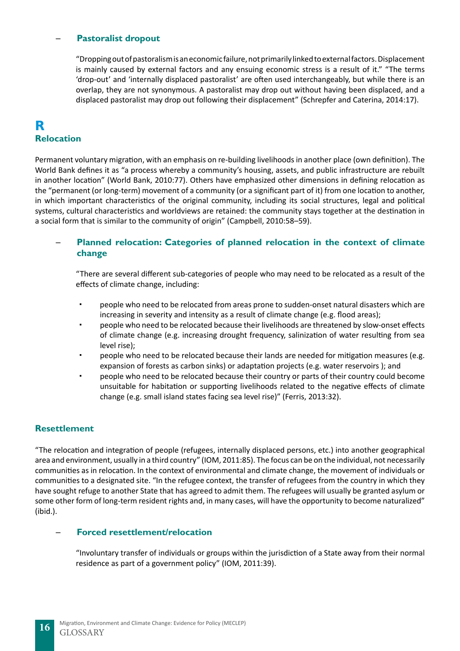## <span id="page-15-0"></span>─ **Pastoralist dropout**

"Dropping out of pastoralism is an economic failure, not primarily linked to external factors. Displacement is mainly caused by external factors and any ensuing economic stress is a result of it." "The terms 'drop-out' and 'internally displaced pastoralist' are often used interchangeably, but while there is an overlap, they are not synonymous. A pastoralist may drop out without having been displaced, and a displaced pastoralist may drop out following their displacement" (Schrepfer and Caterina, 2014:17).

## **R Relocation**

Permanent voluntary migration, with an emphasis on re-building livelihoods in another place (own definition). The World Bank defines it as "a process whereby a community's housing, assets, and public infrastructure are rebuilt in another location" (World Bank, 2010:77). Others have emphasized other dimensions in defining relocation as the "permanent (or long-term) movement of a community (or a significant part of it) from one location to another, in which important characteristics of the original community, including its social structures, legal and political systems, cultural characteristics and worldviews are retained: the community stays together at the destination in a social form that is similar to the community of origin" (Campbell, 2010:58–59).

## ─ **Planned relocation: Categories of planned relocation in the context of climate change**

"There are several different sub-categories of people who may need to be relocated as a result of the effects of climate change, including:

- people who need to be relocated from areas prone to sudden-onset natural disasters which are increasing in severity and intensity as a result of climate change (e.g. flood areas);
- people who need to be relocated because their livelihoods are threatened by slow-onset effects of climate change (e.g. increasing drought frequency, salinization of water resulting from sea level rise);
- people who need to be relocated because their lands are needed for mitigation measures (e.g. expansion of forests as carbon sinks) or adaptation projects (e.g. water reservoirs ); and
- people who need to be relocated because their country or parts of their country could become unsuitable for habitation or supporting livelihoods related to the negative effects of climate change (e.g. small island states facing sea level rise)" (Ferris, 2013:32).

## **Resettlement**

"The relocation and integration of people (refugees, internally displaced persons, etc.) into another geographical area and environment, usually in a third country" (IOM, 2011:85). The focus can be on the individual, not necessarily communities as in relocation. In the context of environmental and climate change, the movement of individuals or communities to a designated site. "In the refugee context, the transfer of refugees from the country in which they have sought refuge to another State that has agreed to admit them. The refugees will usually be granted asylum or some other form of long-term resident rights and, in many cases, will have the opportunity to become naturalized" (ibid.).

#### ─ **Forced resettlement/relocation**

"Involuntary transfer of individuals or groups within the jurisdiction of a State away from their normal residence as part of a government policy" (IOM, 2011:39).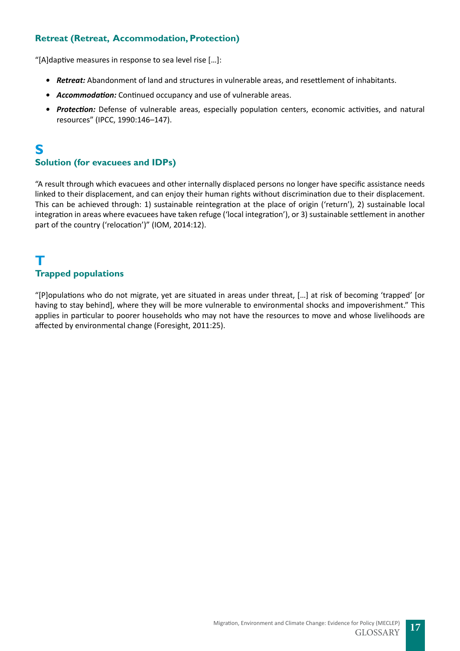## <span id="page-16-0"></span>**Retreat (Retreat, Accommodation, Protection)**

"[A]daptive measures in response to sea level rise […]:

- *• Retreat:* Abandonment of land and structures in vulnerable areas, and resettlement of inhabitants.
- *• Accommodation:* Continued occupancy and use of vulnerable areas.
- *• Protection:* Defense of vulnerable areas, especially population centers, economic activities, and natural resources" (IPCC, 1990:146–147).

## **S**

## **Solution (for evacuees and IDPs)**

"A result through which evacuees and other internally displaced persons no longer have specific assistance needs linked to their displacement, and can enjoy their human rights without discrimination due to their displacement. This can be achieved through: 1) sustainable reintegration at the place of origin ('return'), 2) sustainable local integration in areas where evacuees have taken refuge ('local integration'), or 3) sustainable settlement in another part of the country ('relocation')" (IOM, 2014:12).

## **T Trapped populations**

"[P]opulations who do not migrate, yet are situated in areas under threat, […] at risk of becoming 'trapped' [or having to stay behind], where they will be more vulnerable to environmental shocks and impoverishment." This applies in particular to poorer households who may not have the resources to move and whose livelihoods are affected by environmental change (Foresight, 2011:25).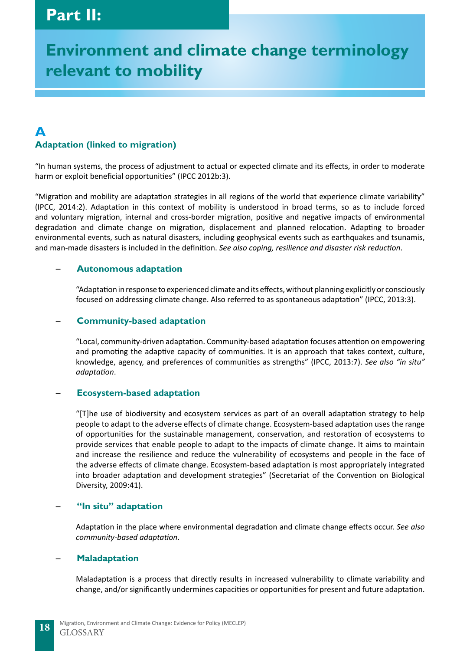# <span id="page-17-0"></span>**Environment and climate change terminology relevant to mobility**

## **A Adaptation (linked to migration)**

"In human systems, the process of adjustment to actual or expected climate and its effects, in order to moderate harm or exploit beneficial opportunities" (IPCC 2012b:3).

"Migration and mobility are adaptation strategies in all regions of the world that experience climate variability" (IPCC, 2014:2). Adaptation in this context of mobility is understood in broad terms, so as to include forced and voluntary migration, internal and cross-border migration, positive and negative impacts of environmental degradation and climate change on migration, displacement and planned relocation. Adapting to broader environmental events, such as natural disasters, including geophysical events such as earthquakes and tsunamis, and man-made disasters is included in the definition. *See also coping, resilience and disaster risk reduction*.

## ─ **Autonomous adaptation**

"Adaptation in response to experienced climate and its effects, without planning explicitly or consciously focused on addressing climate change. Also referred to as spontaneous adaptation" (IPCC, 2013:3).

## ─ **Community-based adaptation**

"Local, community-driven adaptation. Community-based adaptation focuses attention on empowering and promoting the adaptive capacity of communities. It is an approach that takes context, culture, knowledge, agency, and preferences of communities as strengths" (IPCC, 2013:7). *See also "in situ" adaptation*.

## ─ **Ecosystem-based adaptation**

"[T]he use of biodiversity and ecosystem services as part of an overall adaptation strategy to help people to adapt to the adverse effects of climate change. Ecosystem-based adaptation uses the range of opportunities for the sustainable management, conservation, and restoration of ecosystems to provide services that enable people to adapt to the impacts of climate change. It aims to maintain and increase the resilience and reduce the vulnerability of ecosystems and people in the face of the adverse effects of climate change. Ecosystem-based adaptation is most appropriately integrated into broader adaptation and development strategies" (Secretariat of the Convention on Biological Diversity, 2009:41).

## "In situ" adaptation

Adaptation in the place where environmental degradation and climate change effects occur. *See also community-based adaptation*.

## ─ **Maladaptation**

Maladaptation is a process that directly results in increased vulnerability to climate variability and change, and/or significantly undermines capacities or opportunities for present and future adaptation.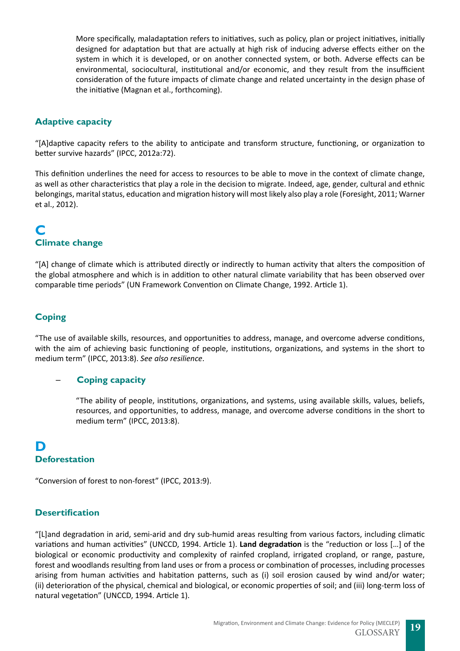<span id="page-18-0"></span>More specifically, maladaptation refers to initiatives, such as policy, plan or project initiatives, initially designed for adaptation but that are actually at high risk of inducing adverse effects either on the system in which it is developed, or on another connected system, or both. Adverse effects can be environmental, sociocultural, institutional and/or economic, and they result from the insufficient consideration of the future impacts of climate change and related uncertainty in the design phase of the initiative (Magnan et al., forthcoming).

## **Adaptive capacity**

"[A]daptive capacity refers to the ability to anticipate and transform structure, functioning, or organization to better survive hazards" (IPCC, 2012a:72).

This definition underlines the need for access to resources to be able to move in the context of climate change, as well as other characteristics that play a role in the decision to migrate. Indeed, age, gender, cultural and ethnic belongings, marital status, education and migration history will most likely also play a role (Foresight, 2011; Warner et al., 2012).

## **C Climate change**

"[A] change of climate which is attributed directly or indirectly to human activity that alters the composition of the global atmosphere and which is in addition to other natural climate variability that has been observed over comparable time periods" (UN Framework Convention on Climate Change, 1992. Article 1).

## **Coping**

"The use of available skills, resources, and opportunities to address, manage, and overcome adverse conditions, with the aim of achieving basic functioning of people, institutions, organizations, and systems in the short to medium term" (IPCC, 2013:8). *See also resilience*.

## ─ **Coping capacity**

"The ability of people, institutions, organizations, and systems, using available skills, values, beliefs, resources, and opportunities, to address, manage, and overcome adverse conditions in the short to medium term" (IPCC, 2013:8).

## **D Deforestation**

"Conversion of forest to non-forest" (IPCC, 2013:9).

## **Desertification**

"[L]and degradation in arid, semi-arid and dry sub-humid areas resulting from various factors, including climatic variations and human activities" (UNCCD, 1994. Article 1). **Land degradation** is the "reduction or loss […] of the biological or economic productivity and complexity of rainfed cropland, irrigated cropland, or range, pasture, forest and woodlands resulting from land uses or from a process or combination of processes, including processes arising from human activities and habitation patterns, such as (i) soil erosion caused by wind and/or water; (ii) deterioration of the physical, chemical and biological, or economic properties of soil; and (iii) long-term loss of natural vegetation" (UNCCD, 1994. Article 1).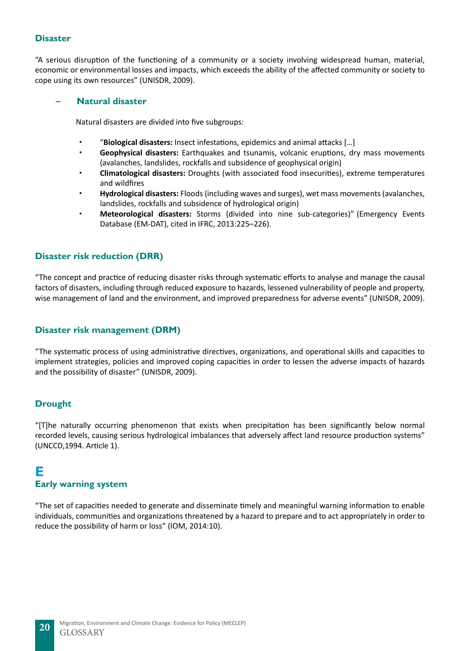## <span id="page-19-0"></span>**Disaster**

"A serious disruption of the functioning of a community or a society involving widespread human, material, economic or environmental losses and impacts, which exceeds the ability of the affected community or society to cope using its own resources" (UNISDR, 2009).

## ─ **Natural disaster**

Natural disasters are divided into five subgroups:

- "**Biological disasters:** Insect infestations, epidemics and animal attacks […]
- **Geophysical disasters:** Earthquakes and tsunamis, volcanic eruptions, dry mass movements (avalanches, landslides, rockfalls and subsidence of geophysical origin)
- **Climatological disasters:** Droughts (with associated food insecurities), extreme temperatures and wildfires
- **Hydrological disasters:** Floods (including waves and surges), wet mass movements (avalanches, landslides, rockfalls and subsidence of hydrological origin)
- **Meteorological disasters:** Storms (divided into nine sub-categories)" (Emergency Events Database (EM-DAT), cited in IFRC, 2013:225–226).

## **Disaster risk reduction (DRR)**

"The concept and practice of reducing disaster risks through systematic efforts to analyse and manage the causal factors of disasters, including through reduced exposure to hazards, lessened vulnerability of people and property, wise management of land and the environment, and improved preparedness for adverse events" (UNISDR, 2009).

## **Disaster risk management (DRM)**

"The systematic process of using administrative directives, organizations, and operational skills and capacities to implement strategies, policies and improved coping capacities in order to lessen the adverse impacts of hazards and the possibility of disaster" (UNISDR, 2009).

## **Drought**

"[T]he naturally occurring phenomenon that exists when precipitation has been significantly below normal recorded levels, causing serious hydrological imbalances that adversely affect land resource production systems" (UNCCD,1994. Article 1).

## **E**

## **Early warning system**

"The set of capacities needed to generate and disseminate timely and meaningful warning information to enable individuals, communities and organizations threatened by a hazard to prepare and to act appropriately in order to reduce the possibility of harm or loss" (IOM, 2014:10).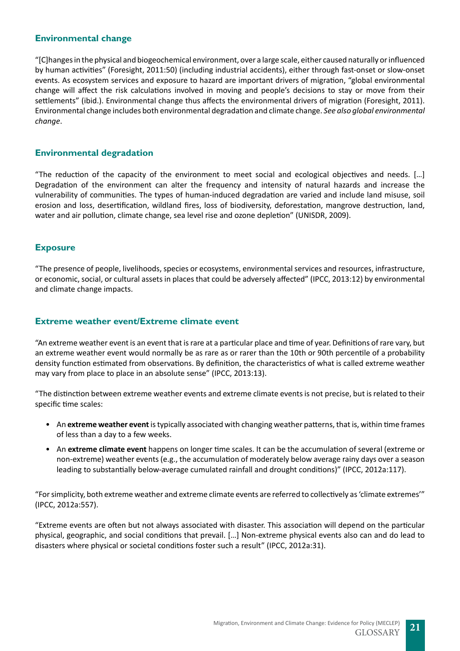## <span id="page-20-0"></span>**Environmental change**

"[C]hanges in the physical and biogeochemical environment, over a large scale, either caused naturally or influenced by human activities" (Foresight, 2011:50) (including industrial accidents), either through fast-onset or slow-onset events. As ecosystem services and exposure to hazard are important drivers of migration, "global environmental change will affect the risk calculations involved in moving and people's decisions to stay or move from their settlements" (ibid.). Environmental change thus affects the environmental drivers of migration (Foresight, 2011). Environmental change includes both environmental degradation and climate change. *See also global environmental change*.

## **Environmental degradation**

"The reduction of the capacity of the environment to meet social and ecological objectives and needs. […] Degradation of the environment can alter the frequency and intensity of natural hazards and increase the vulnerability of communities. The types of human-induced degradation are varied and include land misuse, soil erosion and loss, desertification, wildland fires, loss of biodiversity, deforestation, mangrove destruction, land, water and air pollution, climate change, sea level rise and ozone depletion" (UNISDR, 2009).

## **Exposure**

"The presence of people, livelihoods, species or ecosystems, environmental services and resources, infrastructure, or economic, social, or cultural assets in places that could be adversely affected" (IPCC, 2013:12) by environmental and climate change impacts.

## **Extreme weather event/Extreme climate event**

"An extreme weather event is an event that is rare at a particular place and time of year. Definitions of rare vary, but an extreme weather event would normally be as rare as or rarer than the 10th or 90th percentile of a probability density function estimated from observations. By definition, the characteristics of what is called extreme weather may vary from place to place in an absolute sense" (IPCC, 2013:13).

"The distinction between extreme weather events and extreme climate events is not precise, but is related to their specific time scales:

- An **extreme weather event** is typically associated with changing weather patterns, that is, within time frames of less than a day to a few weeks.
- An **extreme climate event** happens on longer time scales. It can be the accumulation of several (extreme or non-extreme) weather events (e.g., the accumulation of moderately below average rainy days over a season leading to substantially below-average cumulated rainfall and drought conditions)" (IPCC, 2012a:117).

"For simplicity, both extreme weather and extreme climate events are referred to collectively as 'climate extremes'" (IPCC, 2012a:557).

"Extreme events are often but not always associated with disaster. This association will depend on the particular physical, geographic, and social conditions that prevail. […] Non-extreme physical events also can and do lead to disasters where physical or societal conditions foster such a result" (IPCC, 2012a:31).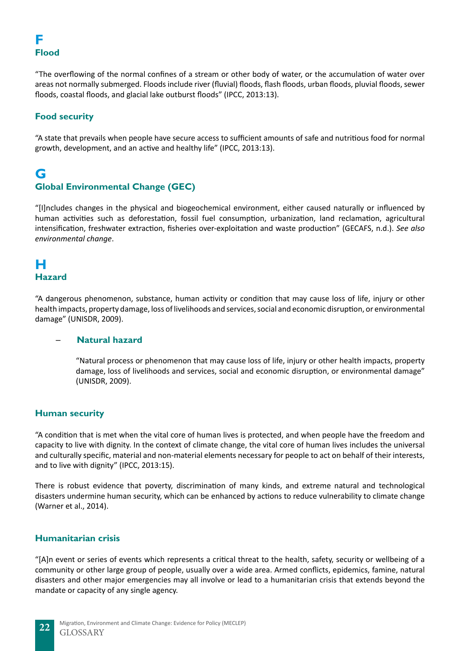## <span id="page-21-0"></span>**F Flood**

"The overflowing of the normal confines of a stream or other body of water, or the accumulation of water over areas not normally submerged. Floods include river (fluvial) floods, flash floods, urban floods, pluvial floods, sewer floods, coastal floods, and glacial lake outburst floods" (IPCC, 2013:13).

## **Food security**

"A state that prevails when people have secure access to sufficient amounts of safe and nutritious food for normal growth, development, and an active and healthy life" (IPCC, 2013:13).

## **G Global Environmental Change (GEC)**

"[I]ncludes changes in the physical and biogeochemical environment, either caused naturally or influenced by human activities such as deforestation, fossil fuel consumption, urbanization, land reclamation, agricultural intensification, freshwater extraction, fisheries over-exploitation and waste production" (GECAFS, n.d.). *See also environmental change*.

## **H Hazard**

"A dangerous phenomenon, substance, human activity or condition that may cause loss of life, injury or other health impacts, property damage, loss of livelihoods and services, social and economic disruption, or environmental damage" (UNISDR, 2009).

## ─ **Natural hazard**

"Natural process or phenomenon that may cause loss of life, injury or other health impacts, property damage, loss of livelihoods and services, social and economic disruption, or environmental damage" (UNISDR, 2009).

## **Human security**

"A condition that is met when the vital core of human lives is protected, and when people have the freedom and capacity to live with dignity. In the context of climate change, the vital core of human lives includes the universal and culturally specific, material and non-material elements necessary for people to act on behalf of their interests, and to live with dignity" (IPCC, 2013:15).

There is robust evidence that poverty, discrimination of many kinds, and extreme natural and technological disasters undermine human security, which can be enhanced by actions to reduce vulnerability to climate change (Warner et al., 2014).

## **Humanitarian crisis**

"[A]n event or series of events which represents a critical threat to the health, safety, security or wellbeing of a community or other large group of people, usually over a wide area. Armed conflicts, epidemics, famine, natural disasters and other major emergencies may all involve or lead to a humanitarian crisis that extends beyond the mandate or capacity of any single agency.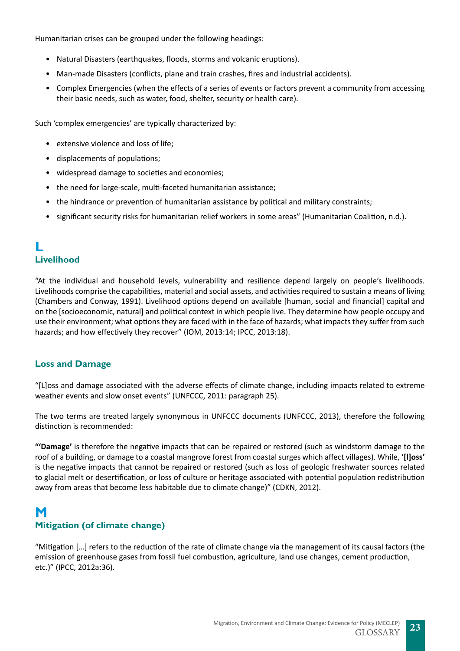<span id="page-22-0"></span>Humanitarian crises can be grouped under the following headings:

- Natural Disasters (earthquakes, floods, storms and volcanic eruptions).
- Man-made Disasters (conflicts, plane and train crashes, fires and industrial accidents).
- Complex Emergencies (when the effects of a series of events or factors prevent a community from accessing their basic needs, such as water, food, shelter, security or health care).

Such 'complex emergencies' are typically characterized by:

- extensive violence and loss of life;
- displacements of populations;
- widespread damage to societies and economies;
- the need for large-scale, multi-faceted humanitarian assistance;
- the hindrance or prevention of humanitarian assistance by political and military constraints;
- significant security risks for humanitarian relief workers in some areas" (Humanitarian Coalition, n.d.).

## **L Livelihood**

"At the individual and household levels, vulnerability and resilience depend largely on people's livelihoods. Livelihoods comprise the capabilities, material and social assets, and activities required to sustain a means of living (Chambers and Conway, 1991). Livelihood options depend on available [human, social and financial] capital and on the [socioeconomic, natural] and political context in which people live. They determine how people occupy and use their environment; what options they are faced with in the face of hazards; what impacts they suffer from such hazards; and how effectively they recover" (IOM, 2013:14; IPCC, 2013:18).

## **Loss and Damage**

"[L]oss and damage associated with the adverse effects of climate change, including impacts related to extreme weather events and slow onset events" (UNFCCC, 2011: paragraph 25).

The two terms are treated largely synonymous in UNFCCC documents (UNFCCC, 2013), therefore the following distinction is recommended:

**"'Damage'** is therefore the negative impacts that can be repaired or restored (such as windstorm damage to the roof of a building, or damage to a coastal mangrove forest from coastal surges which affect villages). While, **'[l]oss'**  is the negative impacts that cannot be repaired or restored (such as loss of geologic freshwater sources related to glacial melt or desertification, or loss of culture or heritage associated with potential population redistribution away from areas that become less habitable due to climate change)" (CDKN, 2012).

## **M Mitigation (of climate change)**

"Mitigation […] refers to the reduction of the rate of climate change via the management of its causal factors (the emission of greenhouse gases from fossil fuel combustion, agriculture, land use changes, cement production, etc.)" (IPCC, 2012a:36).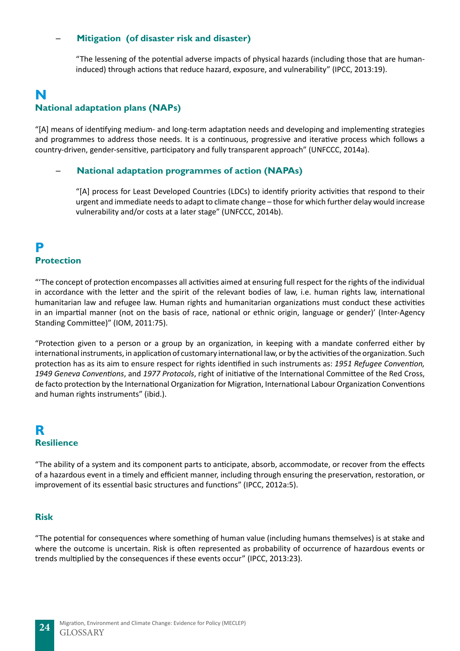## <span id="page-23-0"></span>─ **Mitigation (of disaster risk and disaster)**

"The lessening of the potential adverse impacts of physical hazards (including those that are humaninduced) through actions that reduce hazard, exposure, and vulnerability" (IPCC, 2013:19).

## **N National adaptation plans (NAPs)**

"[A] means of identifying medium- and long-term adaptation needs and developing and implementing strategies and programmes to address those needs. It is a continuous, progressive and iterative process which follows a country-driven, gender-sensitive, participatory and fully transparent approach" (UNFCCC, 2014a).

## ─ **National adaptation programmes of action (NAPAs)**

"[A] process for Least Developed Countries (LDCs) to identify priority activities that respond to their urgent and immediate needs to adapt to climate change – those for which further delay would increase vulnerability and/or costs at a later stage" (UNFCCC, 2014b).

## **P Protection**

"'The concept of protection encompasses all activities aimed at ensuring full respect for the rights of the individual in accordance with the letter and the spirit of the relevant bodies of law, i.e. human rights law, international humanitarian law and refugee law. Human rights and humanitarian organizations must conduct these activities in an impartial manner (not on the basis of race, national or ethnic origin, language or gender)' (Inter-Agency Standing Committee)" (IOM, 2011:75).

"Protection given to a person or a group by an organization, in keeping with a mandate conferred either by international instruments, in application of customary international law, or by the activities of the organization. Such protection has as its aim to ensure respect for rights identified in such instruments as: *1951 Refugee Convention, 1949 Geneva Conventions*, and *1977 Protocols*, right of initiative of the International Committee of the Red Cross, de facto protection by the International Organization for Migration, International Labour Organization Conventions and human rights instruments" (ibid.).

## **R Resilience**

"The ability of a system and its component parts to anticipate, absorb, accommodate, or recover from the effects of a hazardous event in a timely and efficient manner, including through ensuring the preservation, restoration, or improvement of its essential basic structures and functions" (IPCC, 2012a:5).

## **Risk**

"The potential for consequences where something of human value (including humans themselves) is at stake and where the outcome is uncertain. Risk is often represented as probability of occurrence of hazardous events or trends multiplied by the consequences if these events occur" (IPCC, 2013:23).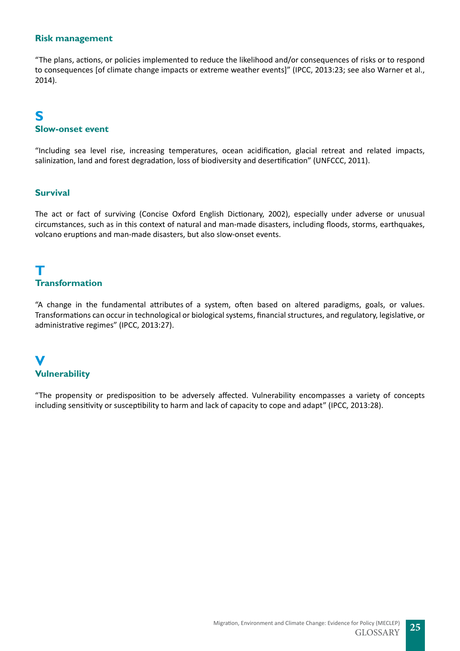## <span id="page-24-0"></span>**Risk management**

"The plans, actions, or policies implemented to reduce the likelihood and/or consequences of risks or to respond to consequences [of climate change impacts or extreme weather events]" (IPCC, 2013:23; see also Warner et al., 2014).

## **S Slow-onset event**

"Including sea level rise, increasing temperatures, ocean acidification, glacial retreat and related impacts, salinization, land and forest degradation, loss of biodiversity and desertification" (UNFCCC, 2011).

## **Survival**

The act or fact of surviving (Concise Oxford English Dictionary, 2002), especially under adverse or unusual circumstances, such as in this context of natural and man-made disasters, including floods, storms, earthquakes, volcano eruptions and man-made disasters, but also slow-onset events.

## **T Transformation**

"A change in the fundamental attributes of a system, often based on altered paradigms, goals, or values. Transformations can occur in technological or biological systems, financial structures, and regulatory, legislative, or administrative regimes" (IPCC, 2013:27).

## **V Vulnerability**

"The propensity or predisposition to be adversely affected. Vulnerability encompasses a variety of concepts including sensitivity or susceptibility to harm and lack of capacity to cope and adapt" (IPCC, 2013:28).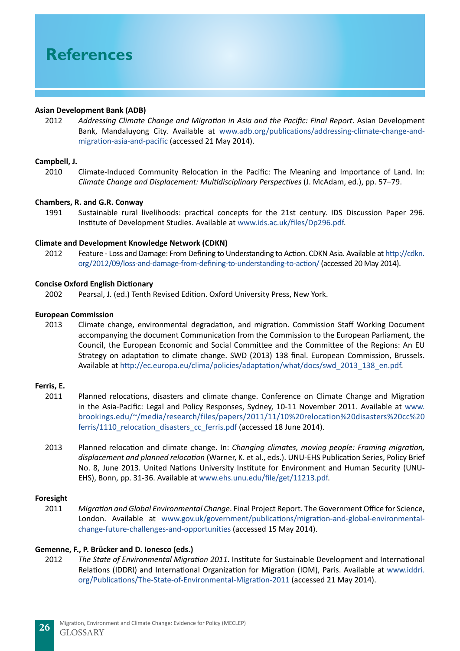# **References**

#### **Asian Development Bank (ADB)**

2012 *Addressing Climate Change and Migration in Asia and the Pacific: Final Report*. Asian Development Bank, Mandaluyong City. Available at [www.adb.org/publications/addressing-climate-change-and](http://www.adb.org/publications/addressing-climate-change-and-migration-asia-and-pacific)[migration-asia-and-pacific](http://www.adb.org/publications/addressing-climate-change-and-migration-asia-and-pacific) (accessed 21 May 2014).

#### **Campbell, J.**

2010 Climate-Induced Community Relocation in the Pacific: The Meaning and Importance of Land. In: *Climate Change and Displacement: Multidisciplinary Perspectives* (J. McAdam, ed.), pp. 57–79.

#### **Chambers, R. and G.R. Conway**

1991 Sustainable rural livelihoods: practical concepts for the 21st century. IDS Discussion Paper 296. Institute of Development Studies. Available at <www.ids.ac.uk/files/Dp296.pdf>.

#### **Climate and Development Knowledge Network (CDKN)**

2012 Feature - Loss and Damage: From Defining to Understanding to Action. CDKN Asia. Available at [http://cdkn.](http://cdkn.org/2012/09/loss-and-damage-from-defining-to-understanding-to-action/) [org/2012/09/loss-and-damage-from-defining-to-understanding-to-action/](http://cdkn.org/2012/09/loss-and-damage-from-defining-to-understanding-to-action/) (accessed 20 May 2014).

#### **Concise Oxford English Dictionary**

2002 Pearsal, J. (ed.) Tenth Revised Edition. Oxford University Press, New York.

#### **European Commission**

2013 Climate change, environmental degradation, and migration. Commission Staff Working Document accompanying the document Communication from the Commission to the European Parliament, the Council, the European Economic and Social Committee and the Committee of the Regions: An EU Strategy on adaptation to climate change. SWD (2013) 138 final. European Commission, Brussels. Available at [http://ec.europa.eu/clima/policies/adaptation/what/docs/swd\\_2013\\_138\\_en.pdf](http://ec.europa.eu/clima/policies/adaptation/what/docs/swd_2013_138_en.pdf).

#### **Ferris, E.**

- 2011 Planned relocations, disasters and climate change. Conference on Climate Change and Migration in the Asia-Pacific: Legal and Policy Responses, Sydney, 10-11 November 2011. Available at [www.](www.brookings.edu/~/media/research/files/papers/2011/11/10%20relocation%20disasters%20cc%20ferris/1110_relocation_disasters_cc_ferris.pdf) [brookings.edu/~/media/research/files/papers/2011/11/10%20relocation%20disasters%20cc%20](www.brookings.edu/~/media/research/files/papers/2011/11/10%20relocation%20disasters%20cc%20ferris/1110_relocation_disasters_cc_ferris.pdf) ferris/1110 relocation disasters cc ferris.pdf (accessed 18 June 2014).
- 2013 Planned relocation and climate change. In: *Changing climates, moving people: Framing migration, displacement and planned relocation* (Warner, K. et al., eds.). UNU-EHS Publication Series, Policy Brief No. 8, June 2013. United Nations University Institute for Environment and Human Security (UNU-EHS), Bonn, pp. 31-36. Available at <www.ehs.unu.edu/file/get/11213.pdf>.

#### **Foresight**

2011 *Migration and Global Environmental Change*. Final Project Report. The Government Office for Science, London. Available at [www.gov.uk/government/publications/migration-and-global-environmental](www.gov.uk/government/publications/migration-and-global-environmental-change-future-challenges-and-opportunities)[change-future-challenges-and-opportunities](www.gov.uk/government/publications/migration-and-global-environmental-change-future-challenges-and-opportunities) (accessed 15 May 2014).

#### **Gemenne, F., P. Brücker and D. Ionesco (eds.)**

2012 *The State of Environmental Migration 2011*. Institute for Sustainable Development and International Relations (IDDRI) and International Organization for Migration (IOM), Paris. Available at [www.iddri.](www.iddri.org/Publications/The-State-of-Environmental-Migration-2011) [org/Publications/The-State-of-Environmental-Migration-2011](www.iddri.org/Publications/The-State-of-Environmental-Migration-2011) (accessed 21 May 2014).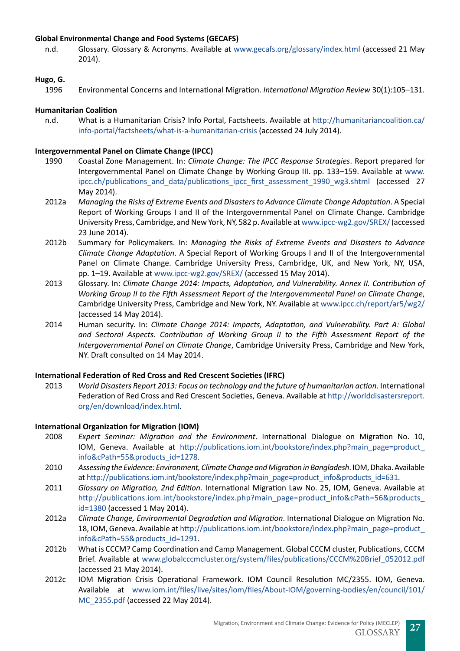## **Global Environmental Change and Food Systems (GECAFS)**

n.d. Glossary. Glossary & Acronyms. Available at <www.gecafs.org/glossary/index.html> (accessed 21 May 2014).

## **Hugo, G.**

1996 Environmental Concerns and International Migration. *International Migration Review* 30(1):105–131.

## **Humanitarian Coalition**

n.d. What is a Humanitarian Crisis? Info Portal, Factsheets. Available at [http://humanitariancoalition.ca/](http://humanitariancoalition.ca/info-portal/factsheets/what-is-a-humanitarian-crisis) [info-portal/factsheets/what-is-a-humanitarian-crisis](http://humanitariancoalition.ca/info-portal/factsheets/what-is-a-humanitarian-crisis) (accessed 24 July 2014).

## **Intergovernmental Panel on Climate Change (IPCC)**

- 1990 Coastal Zone Management. In: *Climate Change: The IPCC Response Strategies*. Report prepared for Intergovernmental Panel on Climate Change by Working Group III. pp. 133–159. Available at [www.](www.ipcc.ch/publications_and_data/publications_ipcc_first_assessment_1990_wg3.shtml) [ipcc.ch/publications\\_and\\_data/publications\\_ipcc\\_first\\_assessment\\_1990\\_wg3.shtml](www.ipcc.ch/publications_and_data/publications_ipcc_first_assessment_1990_wg3.shtml) (accessed 27 May 2014).
- 2012a *Managing the Risks of Extreme Events and Disasters to Advance Climate Change Adaptation*. A Special Report of Working Groups I and II of the Intergovernmental Panel on Climate Change. Cambridge University Press, Cambridge, and New York, NY, 582 p. Available at [www.ipcc-wg2.gov/SREX/](http://www.ipcc-wg2.gov/SREX/) (accessed 23 June 2014).
- 2012b Summary for Policymakers. In: *Managing the Risks of Extreme Events and Disasters to Advance Climate Change Adaptation*. A Special Report of Working Groups I and II of the Intergovernmental Panel on Climate Change. Cambridge University Press, Cambridge, UK, and New York, NY, USA, pp. 1–19. Available at [www.ipcc-wg2.gov/SREX/](http://www.ipcc-wg2.gov/SREX/) (accessed 15 May 2014).
- 2013 Glossary. In: *Climate Change 2014: Impacts, Adaptation, and Vulnerability. Annex II. Contribution of Working Group II to the Fifth Assessment Report of the Intergovernmental Panel on Climate Change*, Cambridge University Press, Cambridge and New York, NY. Available at [www.ipcc.ch/report/ar5/wg2/](www.ipcc.ch/report/ar5/wg2/ )  (accessed 14 May 2014).
- 2014 Human security. In: *Climate Change 2014: Impacts, Adaptation, and Vulnerability. Part A: Global and Sectoral Aspects. Contribution of Working Group II to the Fifth Assessment Report of the Intergovernmental Panel on Climate Change*, Cambridge University Press, Cambridge and New York, NY. Draft consulted on 14 May 2014.

#### **International Federation of Red Cross and Red Crescent Societies (IFRC)**

2013 *World Disasters Report 2013: Focus on technology and the future of humanitarian action*. International Federation of Red Cross and Red Crescent Societies, Geneva. Available at [http://worlddisastersreport.](http://worlddisastersreport.org/en/download/index.html) [org/en/download/index.html](http://worlddisastersreport.org/en/download/index.html).

#### **International Organization for Migration (IOM)**

- 2008 *Expert Seminar: Migration and the Environment*. International Dialogue on Migration No. 10, IOM, Geneva. Available at [http://publications.iom.int/bookstore/index.php?main\\_page=product\\_](http://publications.iom.int/bookstore/index.php?main_page=product_info&cPath=55&products_id=1278) [info&cPath=55&products\\_id=1278.](http://publications.iom.int/bookstore/index.php?main_page=product_info&cPath=55&products_id=1278)
- 2010 *Assessing the Evidence: Environment, Climate Change and Migration in Bangladesh*. IOM, Dhaka. Available at [http://publications.iom.int/bookstore/index.php?main\\_page=product\\_info&products\\_id=631](http://publications.iom.int/bookstore/index.php?main_page=product_info&products_id=631).
- 2011 *Glossary on Migration, 2nd Edition*. International Migration Law No. 25, IOM, Geneva. Available at http://publications.iom.int/bookstore/index.php?main\_page=product\_info&cPath=56&products [id=1380](http://publications.iom.int/bookstore/index.php?main_page=product_info&cPath=56&products_id=1380) (accessed 1 May 2014).
- 2012a *Climate Change, Environmental Degradation and Migration*. International Dialogue on Migration No. 18, IOM, Geneva. Available at [http://publications.iom.int/bookstore/index.php?main\\_page=product\\_](http://publications.iom.int/bookstore/index.php?main_page=product_info&cPath=55&products_id=1291) [info&cPath=55&products\\_id=1291.](http://publications.iom.int/bookstore/index.php?main_page=product_info&cPath=55&products_id=1291)
- 2012b What is CCCM? Camp Coordination and Camp Management. Global CCCM cluster, Publications, CCCM Brief. Available at [www.globalcccmcluster.org/system/files/publications/CCCM%20Brief\\_052012.pdf](www.globalcccmcluster.org/system/files/publications/CCCM%20Brief_052012.pdf )  (accessed 21 May 2014).
- 2012c IOM Migration Crisis Operational Framework. IOM Council Resolution MC/2355. IOM, Geneva. Available at [www.iom.int/files/live/sites/iom/files/About-IOM/governing-bodies/en/council/101/](www.iom.int/files/live/sites/iom/files/About-IOM/governing-bodies/en/council/101/MC_2355.pdf) [MC\\_2355.pdf](www.iom.int/files/live/sites/iom/files/About-IOM/governing-bodies/en/council/101/MC_2355.pdf) (accessed 22 May 2014).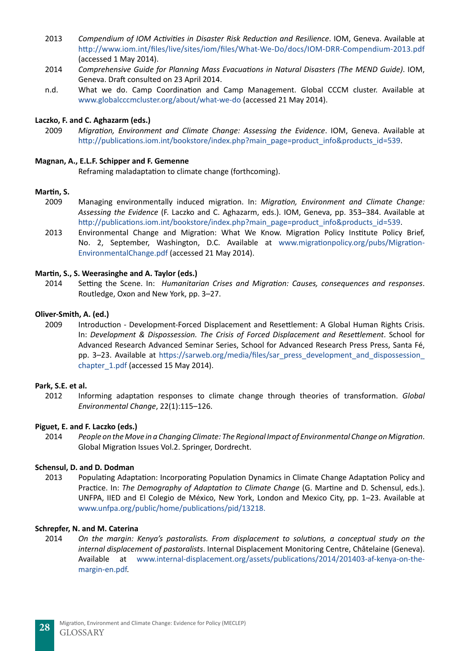- 2013 *Compendium of IOM Activities in Disaster Risk Reduction and Resilience*. IOM, Geneva. Available at [http://www.iom.int/files/live/sites/iom/files/What-We-Do/docs/IOM-DRR-Compendium-2013.pdf](http://www.iom.int/files/live/sites/iom/files/What-We-Do/docs/IOM-DRR-Compendium-2013.pdf )  (accessed 1 May 2014).
- 2014 *Comprehensive Guide for Planning Mass Evacuations in Natural Disasters (The MEND Guide)*. IOM, Geneva. Draft consulted on 23 April 2014.
- n.d. What we do. Camp Coordination and Camp Management. Global CCCM cluster. Available at [www.globalcccmcluster.org/about/what-we-do](http://www.globalcccmcluster.org/about/what-we-do) (accessed 21 May 2014).

#### **Laczko, F. and C. Aghazarm (eds.)**

2009 *Migration, Environment and Climate Change: Assessing the Evidence*. IOM, Geneva. Available at [http://publications.iom.int/bookstore/index.php?main\\_page=product\\_info&products\\_id=539](http://publications.iom.int/bookstore/index.php?main_page=product_info&products_id=539).

#### **Magnan, A., E.L.F. Schipper and F. Gemenne**

Reframing maladaptation to climate change (forthcoming).

#### **Martin, S.**

- 2009 Managing environmentally induced migration. In: *Migration, Environment and Climate Change: Assessing the Evidence* (F. Laczko and C. Aghazarm, eds.). IOM, Geneva, pp. 353–384. Available at [http://publications.iom.int/bookstore/index.php?main\\_page=product\\_info&products\\_id=539](http://publications.iom.int/bookstore/index.php?main_page=product_info&products_id=539).
- 2013 Environmental Change and Migration: What We Know. Migration Policy Institute Policy Brief, No. 2, September, Washington, D.C. Available at [www.migrationpolicy.org/pubs/Migration-](http://www.migrationpolicy.org/pubs/Migration-EnvironmentalChange.pdf)[EnvironmentalChange.pdf](http://www.migrationpolicy.org/pubs/Migration-EnvironmentalChange.pdf) (accessed 21 May 2014).

#### **Martin, S., S. Weerasinghe and A. Taylor (eds.)**

2014 Setting the Scene. In: *Humanitarian Crises and Migration: Causes, consequences and responses*. Routledge, Oxon and New York, pp. 3–27.

#### **Oliver-Smith, A. (ed.)**

2009 Introduction - Development-Forced Displacement and Resettlement: A Global Human Rights Crisis. In: *Development & Dispossession. The Crisis of Forced Displacement and Resettlement*. School for Advanced Research Advanced Seminar Series, School for Advanced Research Press Press, Santa Fé, pp. 3–23. Available at [https://sarweb.org/media/files/sar\\_press\\_development\\_and\\_dispossession\\_](https://sarweb.org/media/files/sar_press_development_and_dispossession_chapter_1.pdf) chapter 1.pdf (accessed 15 May 2014).

#### **Park, S.E. et al.**

2012 Informing adaptation responses to climate change through theories of transformation. *Global Environmental Change*, 22(1):115–126.

#### **Piguet, E. and F. Laczko (eds.)**

2014 *People on the Move in a Changing Climate: The Regional Impact of Environmental Change on Migration*. Global Migration Issues Vol.2. Springer, Dordrecht.

#### **Schensul, D. and D. Dodman**

2013 Populating Adaptation: Incorporating Population Dynamics in Climate Change Adaptation Policy and Practice. In: *The Demography of Adaptation to Climate Change* (G. Martine and D. Schensul, eds.). UNFPA, IIED and El Colegio de México, New York, London and Mexico City, pp. 1–23. Available at <www.unfpa.org/public/home/publications/pid/13218.>

#### **Schrepfer, N. and M. Caterina**

2014 *On the margin: Kenya's pastoralists. From displacement to solutions, a conceptual study on the internal displacement of pastoralists*. Internal Displacement Monitoring Centre, Châtelaine (Geneva). Available at [www.internal-displacement.org/assets/publications/2014/201403-af-kenya-on-the](http://www.internal-displacement.org/assets/publications/2014/201403-af-kenya-on-the-margin-en.pdf)[margin-en.pdf](http://www.internal-displacement.org/assets/publications/2014/201403-af-kenya-on-the-margin-en.pdf).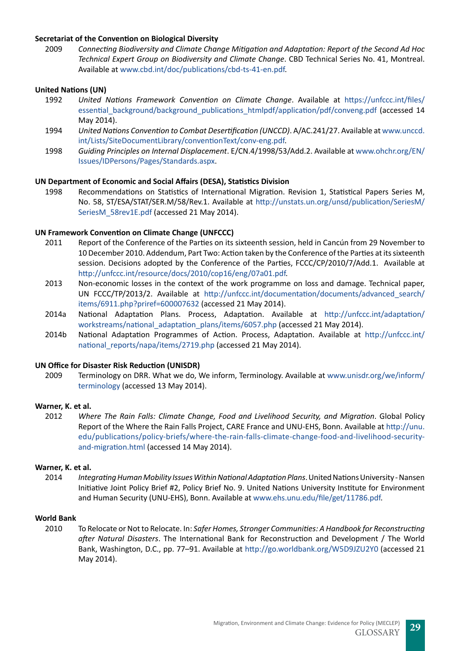#### **Secretariat of the Convention on Biological Diversity**

2009 *Connecting Biodiversity and Climate Change Mitigation and Adaptation: Report of the Second Ad Hoc Technical Expert Group on Biodiversity and Climate Change*. CBD Technical Series No. 41, Montreal. Available at [www.cbd.int/doc/publications/cbd-ts-41-en.pdf.](www.cbd.int/doc/publications/cbd-ts-41-en.pdf)

#### **United Nations (UN)**

- 1992 *United Nations Framework Convention on Climate Change*. Available at [https://unfccc.int/files/](https://unfccc.int/files/essential_background/background_publications_htmlpdf/application/pdf/conveng.pdf) [essential\\_background/background\\_publications\\_htmlpdf/application/pdf/conveng.pdf](https://unfccc.int/files/essential_background/background_publications_htmlpdf/application/pdf/conveng.pdf) (accessed 14 May 2014).
- 1994 *United Nations Convention to Combat Desertification (UNCCD)*. A/AC.241/27. Available at [www.unccd.](www.unccd.int/Lists/SiteDocumentLibrary/conventionText/conv-eng.pdf) [int/Lists/SiteDocumentLibrary/conventionText/conv-eng.pdf](www.unccd.int/Lists/SiteDocumentLibrary/conventionText/conv-eng.pdf).
- 1998 *Guiding Principles on Internal Displacement*. E/CN.4/1998/53/Add.2. Available at [www.ohchr.org/EN/](www.ohchr.org/EN/Issues/IDPersons/Pages/Standards.aspx) [Issues/IDPersons/Pages/Standards.aspx](www.ohchr.org/EN/Issues/IDPersons/Pages/Standards.aspx).

#### **UN Department of Economic and Social Affairs (DESA), Statistics Division**

1998 Recommendations on Statistics of International Migration. Revision 1, Statistical Papers Series M, No. 58, ST/ESA/STAT/SER.M/58/Rev.1. Available at [http://unstats.un.org/unsd/publication/SeriesM/](http://unstats.un.org/unsd/publication/SeriesM/SeriesM_58rev1E.pdf) [SeriesM\\_58rev1E.pdf](http://unstats.un.org/unsd/publication/SeriesM/SeriesM_58rev1E.pdf) (accessed 21 May 2014).

#### **UN Framework Convention on Climate Change (UNFCCC)**

- 2011 Report of the Conference of the Parties on its sixteenth session, held in Cancún from 29 November to 10 December 2010. Addendum, Part Two: Action taken by the Conference of the Parties at its sixteenth session. Decisions adopted by the Conference of the Parties, FCCC/CP/2010/7/Add.1. Available at [http://unfccc.int/resource/docs/2010/cop16/eng/07a01.pdf.](http://unfccc.int/resource/docs/2010/cop16/eng/07a01.pdf)
- 2013 Non-economic losses in the context of the work programme on loss and damage. Technical paper, UN FCCC/TP/2013/2. Available at [http://unfccc.int/documentation/documents/advanced\\_search/](http://unfccc.int/documentation/documents/advanced_search/items/6911.php?priref=600007632) [items/6911.php?priref=600007632](http://unfccc.int/documentation/documents/advanced_search/items/6911.php?priref=600007632) (accessed 21 May 2014).
- 2014a National Adaptation Plans. Process, Adaptation. Available at [http://unfccc.int/adaptation/](http://unfccc.int/adaptation/workstreams/national_adaptation_plans/items/6057.php) [workstreams/national\\_adaptation\\_plans/items/6057.php](http://unfccc.int/adaptation/workstreams/national_adaptation_plans/items/6057.php) (accessed 21 May 2014).
- 2014b National Adaptation Programmes of Action. Process, Adaptation. Available at [http://unfccc.int/](http://unfccc.int/national_reports/napa/items/2719.php) [national\\_reports/napa/items/2719.php](http://unfccc.int/national_reports/napa/items/2719.php) (accessed 21 May 2014).

#### **UN Office for Disaster Risk Reduction (UNISDR)**

2009 Terminology on DRR. What we do, We inform, Terminology. Available at [www.unisdr.org/we/inform/](www.unisdr.org/we/inform/terminology) [terminology](www.unisdr.org/we/inform/terminology) (accessed 13 May 2014).

#### **Warner, K. et al.**

2012 *Where The Rain Falls: Climate Change, Food and Livelihood Security, and Migration*. Global Policy Report of the Where the Rain Falls Project, CARE France and UNU-EHS, Bonn. Available at [http://unu.](http://unu.edu/publications/policy-briefs/where-the-rain-falls-climate-change-food-and-livelihood-security-and-migration.html) [edu/publications/policy-briefs/where-the-rain-falls-climate-change-food-and-livelihood-security](http://unu.edu/publications/policy-briefs/where-the-rain-falls-climate-change-food-and-livelihood-security-and-migration.html)[and-migration.html](http://unu.edu/publications/policy-briefs/where-the-rain-falls-climate-change-food-and-livelihood-security-and-migration.html) (accessed 14 May 2014).

#### **Warner, K. et al.**

2014 *Integrating Human Mobility Issues Within National Adaptation Plans*. United Nations University - Nansen Initiative Joint Policy Brief #2, Policy Brief No. 9. United Nations University Institute for Environment and Human Security (UNU-EHS), Bonn. Available at [www.ehs.unu.edu/file/get/11786.pdf.](www.ehs.unu.edu/file/get/11786.pdf)

#### **World Bank**

2010 To Relocate or Not to Relocate. In: *Safer Homes, Stronger Communities: A Handbook for Reconstructing after Natural Disasters*. The International Bank for Reconstruction and Development / The World Bank, Washington, D.C., pp. 77–91. Available at <http://go.worldbank.org/W5D9JZU2Y0>(accessed 21 May 2014).